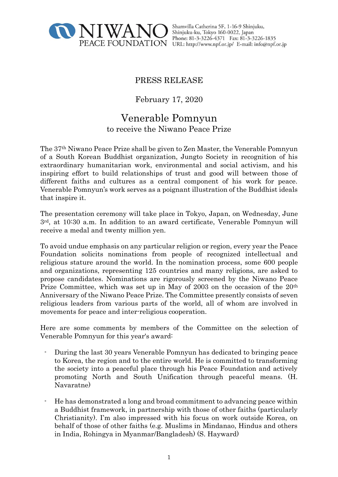

Shamvilla Catherina 5F, 1-16-9 Shinjuku, Shinjuku-ku, Tokyo 160-0022, Japan Phone: 81-3-3226-4371 Fax: 81-3-3226-1835 PEACE FOUNDATION URL: http://www.npf.or.jp/ E-mail: info@npf.or.jp

# PRESS RELEASE

February 17, 2020

# Venerable Pomnyun to receive the Niwano Peace Prize

The 37th Niwano Peace Prize shall be given to Zen Master, the Venerable Pomnyun of a South Korean Buddhist organization, Jungto Society in recognition of his extraordinary humanitarian work, environmental and social activism, and his inspiring effort to build relationships of trust and good will between those of different faiths and cultures as a central component of his work for peace. Venerable Pomnyun's work serves as a poignant illustration of the Buddhist ideals that inspire it.

The presentation ceremony will take place in Tokyo, Japan, on Wednesday, June 3rd, at 10:30 a.m. In addition to an award certificate, Venerable Pomnyun will receive a medal and twenty million yen.

To avoid undue emphasis on any particular religion or region, every year the Peace Foundation solicits nominations from people of recognized intellectual and religious stature around the world. In the nomination process, some 600 people and organizations, representing 125 countries and many religions, are asked to propose candidates. Nominations are rigorously screened by the Niwano Peace Prize Committee, which was set up in May of 2003 on the occasion of the 20<sup>th</sup> Anniversary of the Niwano Peace Prize. The Committee presently consists of seven religious leaders from various parts of the world, all of whom are involved in movements for peace and inter-religious cooperation.

Here are some comments by members of the Committee on the selection of Venerable Pomnyun for this year's award:

- During the last 30 years Venerable Pomnyun has dedicated to bringing peace to Korea, the region and to the entire world. He is committed to transforming the society into a peaceful place through his Peace Foundation and actively promoting North and South Unification through peaceful means. (H. Navaratne)
- He has demonstrated a long and broad commitment to advancing peace within a Buddhist framework, in partnership with those of other faiths (particularly Christianity). I'm also impressed with his focus on work outside Korea, on behalf of those of other faiths (e.g. Muslims in Mindanao, Hindus and others in India, Rohingya in Myanmar/Bangladesh) (S. Hayward)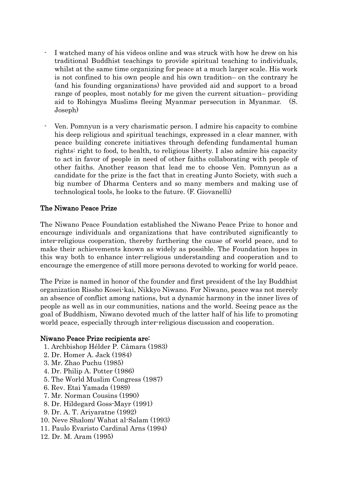- I watched many of his videos online and was struck with how he drew on his traditional Buddhist teachings to provide spiritual teaching to individuals, whilst at the same time organizing for peace at a much larger scale. His work is not confined to his own people and his own tradition– on the contrary he (and his founding organizations) have provided aid and support to a broad range of peoples, most notably for me given the current situation– providing aid to Rohingya Muslims fleeing Myanmar persecution in Myanmar. (S. Joseph)
- Ven. Pomnyun is a very charismatic person. I admire his capacity to combine his deep religious and spiritual teachings, expressed in a clear manner, with peace building concrete initiatives through defending fundamental human rights: right to food, to health, to religious liberty. I also admire his capacity to act in favor of people in need of other faiths collaborating with people of other faiths. Another reason that lead me to choose Ven. Pomnyun as a candidate for the prize is the fact that in creating Junto Society, with such a big number of Dharma Centers and so many members and making use of technological tools, he looks to the future. (F. Giovanelli)

## The Niwano Peace Prize

The Niwano Peace Foundation established the Niwano Peace Prize to honor and encourage individuals and organizations that have contributed significantly to inter-religious cooperation, thereby furthering the cause of world peace, and to make their achievements known as widely as possible. The Foundation hopes in this way both to enhance inter-religious understanding and cooperation and to encourage the emergence of still more persons devoted to working for world peace.

The Prize is named in honor of the founder and first president of the lay Buddhist organization Rissho Kosei-kai, Nikkyo Niwano. For Niwano, peace was not merely an absence of conflict among nations, but a dynamic harmony in the inner lives of people as well as in our communities, nations and the world. Seeing peace as the goal of Buddhism, Niwano devoted much of the latter half of his life to promoting world peace, especially through inter-religious discussion and cooperation.

### Niwano Peace Prize recipients are:

- 1. Archbishop Hélder P. Câmara (1983)
- 2. Dr. Homer A. Jack (1984)
- 3. Mr. Zhao Puchu (1985)
- 4. Dr. Philip A. Potter (1986)
- 5. The World Muslim Congress (1987)
- 6. Rev. Etai Yamada (1989)
- 7. Mr. Norman Cousins (1990)
- 8. Dr. Hildegard Goss-Mayr (1991)
- 9. Dr. A. T. Ariyaratne (1992)
- 10. Neve Shalom/ Wahat al-Salam (1993)
- 11. Paulo Evaristo Cardinal Arns (1994)
- 12. Dr. M. Aram (1995)